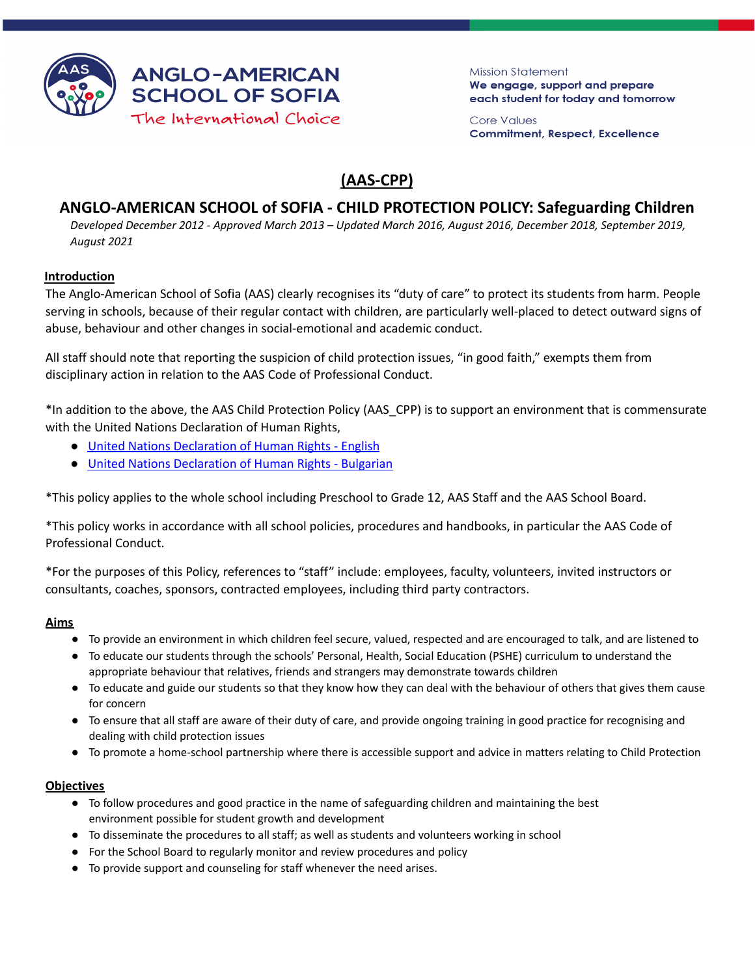

**Mission Statement** We engage, support and prepare each student for today and tomorrow

**Core Values Commitment, Respect, Excellence** 

# **(AAS-CPP)**

## **ANGLO-AMERICAN SCHOOL of SOFIA - CHILD PROTECTION POLICY: Safeguarding Children**

Developed December 2012 - Approved March 2013 - Updated March 2016, August 2016, December 2018, September 2019, *August 2021*

## **Introduction**

The Anglo-American School of Sofia (AAS) clearly recognises its "duty of care" to protect its students from harm. People serving in schools, because of their regular contact with children, are particularly well-placed to detect outward signs of abuse, behaviour and other changes in social-emotional and academic conduct.

All staff should note that reporting the suspicion of child protection issues, "in good faith," exempts them from disciplinary action in relation to the AAS Code of Professional Conduct.

\*In addition to the above, the AAS Child Protection Policy (AAS\_CPP) is to support an environment that is commensurate with the United Nations Declaration of Human Rights,

- United Nations [Declaration](http://www.ohchr.org/EN/UDHR/Pages/Language.aspx?LangID=eng) of Human Rights English
- United Nations [Declaration](http://www.ohchr.org/EN/UDHR/Pages/Language.aspx?LangID=blg) of Human Rights Bulgarian

\*This policy applies to the whole school including Preschool to Grade 12, AAS Staff and the AAS School Board.

\*This policy works in accordance with all school policies, procedures and handbooks, in particular the AAS Code of Professional Conduct.

\*For the purposes of this Policy, references to "staff" include: employees, faculty, volunteers, invited instructors or consultants, coaches, sponsors, contracted employees, including third party contractors.

## **Aims**

- To provide an environment in which children feel secure, valued, respected and are encouraged to talk, and are listened to
- To educate our students through the schools' Personal, Health, Social Education (PSHE) curriculum to understand the appropriate behaviour that relatives, friends and strangers may demonstrate towards children
- To educate and guide our students so that they know how they can deal with the behaviour of others that gives them cause for concern
- To ensure that all staff are aware of their duty of care, and provide ongoing training in good practice for recognising and dealing with child protection issues
- To promote a home-school partnership where there is accessible support and advice in matters relating to Child Protection

## **Objectives**

- To follow procedures and good practice in the name of safeguarding children and maintaining the best environment possible for student growth and development
- To disseminate the procedures to all staff; as well as students and volunteers working in school
- For the School Board to regularly monitor and review procedures and policy
- To provide support and counseling for staff whenever the need arises.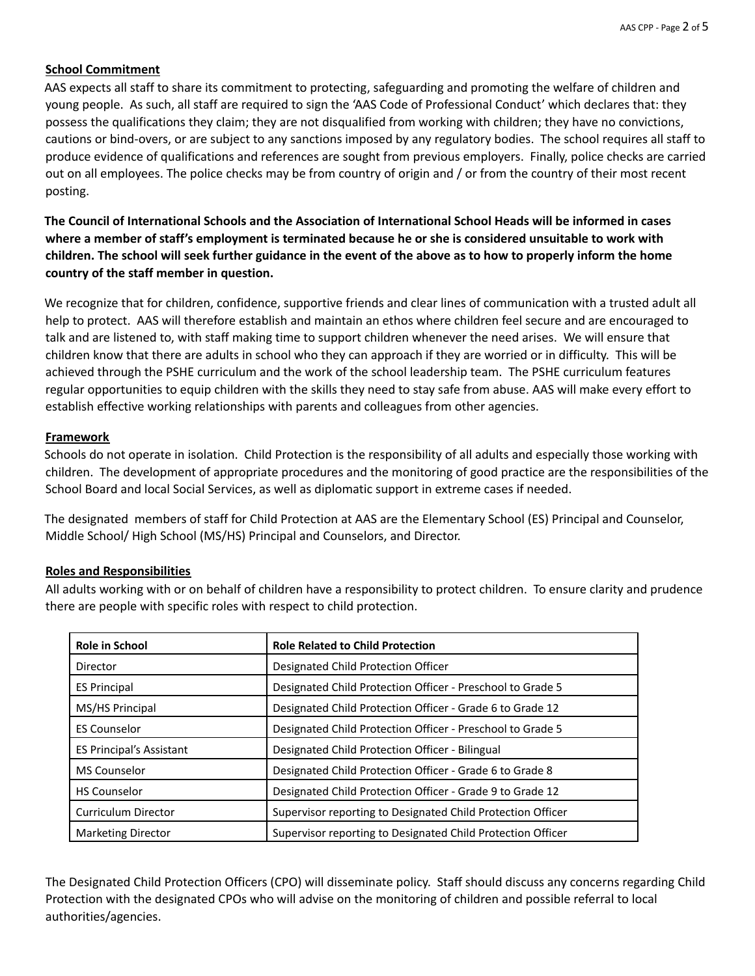## **School Commitment**

AAS expects all staff to share its commitment to protecting, safeguarding and promoting the welfare of children and young people. As such, all staff are required to sign the 'AAS Code of Professional Conduct' which declares that: they possess the qualifications they claim; they are not disqualified from working with children; they have no convictions, cautions or bind-overs, or are subject to any sanctions imposed by any regulatory bodies. The school requires all staff to produce evidence of qualifications and references are sought from previous employers. Finally, police checks are carried out on all employees. The police checks may be from country of origin and / or from the country of their most recent posting.

The Council of International Schools and the Association of International School Heads will be informed in cases where a member of staff's employment is terminated because he or she is considered unsuitable to work with children. The school will seek further guidance in the event of the above as to how to properly inform the home **country of the staff member in question.**

We recognize that for children, confidence, supportive friends and clear lines of communication with a trusted adult all help to protect. AAS will therefore establish and maintain an ethos where children feel secure and are encouraged to talk and are listened to, with staff making time to support children whenever the need arises. We will ensure that children know that there are adults in school who they can approach if they are worried or in difficulty. This will be achieved through the PSHE curriculum and the work of the school leadership team. The PSHE curriculum features regular opportunities to equip children with the skills they need to stay safe from abuse. AAS will make every effort to establish effective working relationships with parents and colleagues from other agencies.

## **Framework**

Schools do not operate in isolation. Child Protection is the responsibility of all adults and especially those working with children. The development of appropriate procedures and the monitoring of good practice are the responsibilities of the School Board and local Social Services, as well as diplomatic support in extreme cases if needed.

The designated members of staff for Child Protection at AAS are the Elementary School (ES) Principal and Counselor, Middle School/ High School (MS/HS) Principal and Counselors, and Director.

## **Roles and Responsibilities**

All adults working with or on behalf of children have a responsibility to protect children. To ensure clarity and prudence there are people with specific roles with respect to child protection.

| Role in School                  | <b>Role Related to Child Protection</b>                     |
|---------------------------------|-------------------------------------------------------------|
| Director                        | Designated Child Protection Officer                         |
| <b>ES Principal</b>             | Designated Child Protection Officer - Preschool to Grade 5  |
| MS/HS Principal                 | Designated Child Protection Officer - Grade 6 to Grade 12   |
| <b>ES Counselor</b>             | Designated Child Protection Officer - Preschool to Grade 5  |
| <b>ES Principal's Assistant</b> | Designated Child Protection Officer - Bilingual             |
| <b>MS Counselor</b>             | Designated Child Protection Officer - Grade 6 to Grade 8    |
| <b>HS Counselor</b>             | Designated Child Protection Officer - Grade 9 to Grade 12   |
| <b>Curriculum Director</b>      | Supervisor reporting to Designated Child Protection Officer |
| <b>Marketing Director</b>       | Supervisor reporting to Designated Child Protection Officer |

The Designated Child Protection Officers (CPO) will disseminate policy. Staff should discuss any concerns regarding Child Protection with the designated CPOs who will advise on the monitoring of children and possible referral to local authorities/agencies.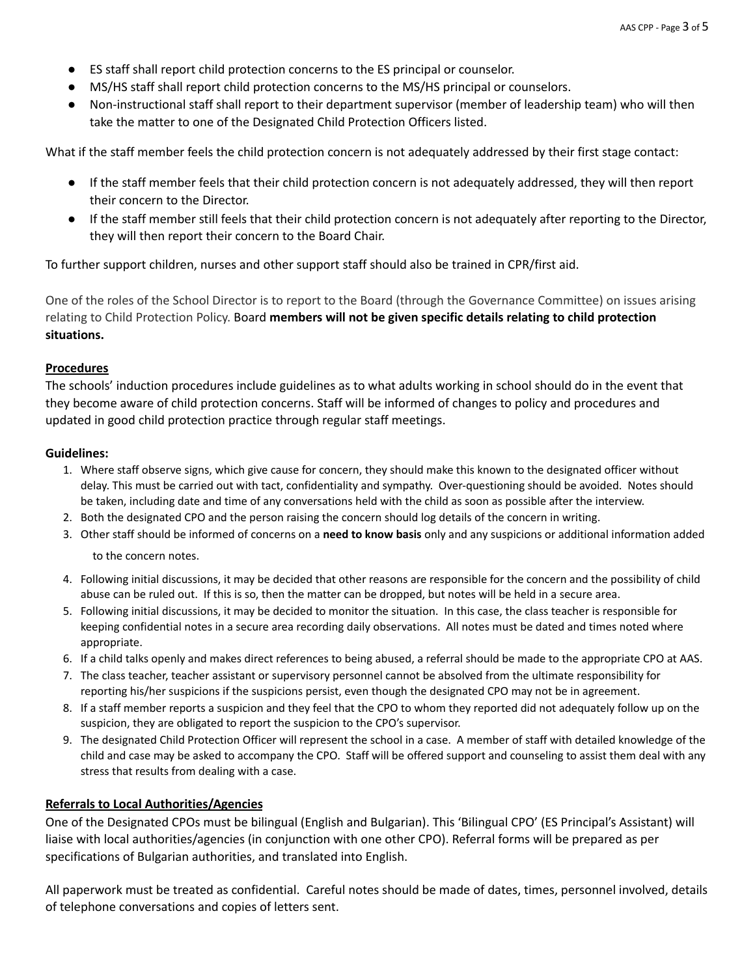- ES staff shall report child protection concerns to the ES principal or counselor.
- MS/HS staff shall report child protection concerns to the MS/HS principal or counselors.
- Non-instructional staff shall report to their department supervisor (member of leadership team) who will then take the matter to one of the Designated Child Protection Officers listed.

What if the staff member feels the child protection concern is not adequately addressed by their first stage contact:

- If the staff member feels that their child protection concern is not adequately addressed, they will then report their concern to the Director.
- If the staff member still feels that their child protection concern is not adequately after reporting to the Director, they will then report their concern to the Board Chair.

To further support children, nurses and other support staff should also be trained in CPR/first aid.

One of the roles of the School Director is to report to the Board (through the Governance Committee) on issues arising relating to Child Protection Policy. Board **members will not be given specific details relating to child protection situations.**

#### **Procedures**

The schools' induction procedures include guidelines as to what adults working in school should do in the event that they become aware of child protection concerns. Staff will be informed of changes to policy and procedures and updated in good child protection practice through regular staff meetings.

#### **Guidelines:**

- 1. Where staff observe signs, which give cause for concern, they should make this known to the designated officer without delay. This must be carried out with tact, confidentiality and sympathy. Over-questioning should be avoided. Notes should be taken, including date and time of any conversations held with the child as soon as possible after the interview.
- 2. Both the designated CPO and the person raising the concern should log details of the concern in writing.
- 3. Other staff should be informed of concerns on a **need to know basis** only and any suspicions or additional information added

to the concern notes.

- 4. Following initial discussions, it may be decided that other reasons are responsible for the concern and the possibility of child abuse can be ruled out. If this is so, then the matter can be dropped, but notes will be held in a secure area.
- 5. Following initial discussions, it may be decided to monitor the situation. In this case, the class teacher is responsible for keeping confidential notes in a secure area recording daily observations. All notes must be dated and times noted where appropriate.
- 6. If a child talks openly and makes direct references to being abused, a referral should be made to the appropriate CPO at AAS.
- 7. The class teacher, teacher assistant or supervisory personnel cannot be absolved from the ultimate responsibility for reporting his/her suspicions if the suspicions persist, even though the designated CPO may not be in agreement.
- 8. If a staff member reports a suspicion and they feel that the CPO to whom they reported did not adequately follow up on the suspicion, they are obligated to report the suspicion to the CPO's supervisor.
- 9. The designated Child Protection Officer will represent the school in a case. A member of staff with detailed knowledge of the child and case may be asked to accompany the CPO. Staff will be offered support and counseling to assist them deal with any stress that results from dealing with a case.

#### **Referrals to Local Authorities/Agencies**

One of the Designated CPOs must be bilingual (English and Bulgarian). This 'Bilingual CPO' (ES Principal's Assistant) will liaise with local authorities/agencies (in conjunction with one other CPO). Referral forms will be prepared as per specifications of Bulgarian authorities, and translated into English.

All paperwork must be treated as confidential. Careful notes should be made of dates, times, personnel involved, details of telephone conversations and copies of letters sent.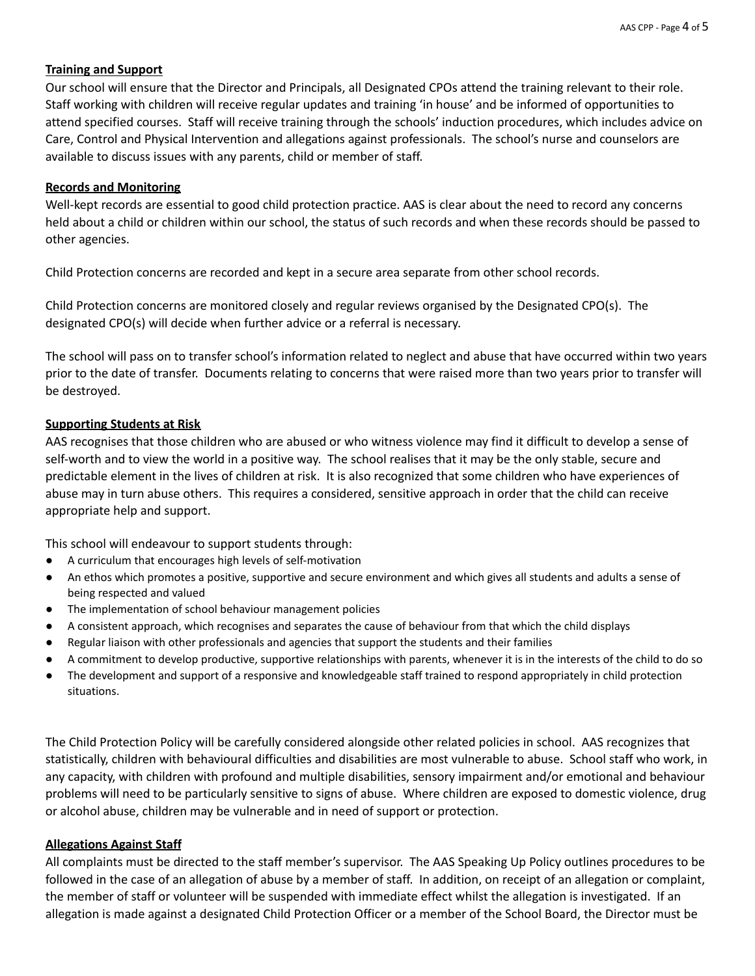## **Training and Support**

Our school will ensure that the Director and Principals, all Designated CPOs attend the training relevant to their role. Staff working with children will receive regular updates and training 'in house' and be informed of opportunities to attend specified courses. Staff will receive training through the schools' induction procedures, which includes advice on Care, Control and Physical Intervention and allegations against professionals. The school's nurse and counselors are available to discuss issues with any parents, child or member of staff.

## **Records and Monitoring**

Well-kept records are essential to good child protection practice. AAS is clear about the need to record any concerns held about a child or children within our school, the status of such records and when these records should be passed to other agencies.

Child Protection concerns are recorded and kept in a secure area separate from other school records.

Child Protection concerns are monitored closely and regular reviews organised by the Designated CPO(s). The designated CPO(s) will decide when further advice or a referral is necessary.

The school will pass on to transfer school's information related to neglect and abuse that have occurred within two years prior to the date of transfer. Documents relating to concerns that were raised more than two years prior to transfer will be destroyed.

## **Supporting Students at Risk**

AAS recognises that those children who are abused or who witness violence may find it difficult to develop a sense of self-worth and to view the world in a positive way. The school realises that it may be the only stable, secure and predictable element in the lives of children at risk. It is also recognized that some children who have experiences of abuse may in turn abuse others. This requires a considered, sensitive approach in order that the child can receive appropriate help and support.

This school will endeavour to support students through:

- A curriculum that encourages high levels of self-motivation
- An ethos which promotes a positive, supportive and secure environment and which gives all students and adults a sense of being respected and valued
- The implementation of school behaviour management policies
- A consistent approach, which recognises and separates the cause of behaviour from that which the child displays
- Regular liaison with other professionals and agencies that support the students and their families
- A commitment to develop productive, supportive relationships with parents, whenever it is in the interests of the child to do so
- The development and support of a responsive and knowledgeable staff trained to respond appropriately in child protection situations.

The Child Protection Policy will be carefully considered alongside other related policies in school. AAS recognizes that statistically, children with behavioural difficulties and disabilities are most vulnerable to abuse. School staff who work, in any capacity, with children with profound and multiple disabilities, sensory impairment and/or emotional and behaviour problems will need to be particularly sensitive to signs of abuse. Where children are exposed to domestic violence, drug or alcohol abuse, children may be vulnerable and in need of support or protection.

## **Allegations Against Staff**

All complaints must be directed to the staff member's supervisor. The AAS Speaking Up Policy outlines procedures to be followed in the case of an allegation of abuse by a member of staff. In addition, on receipt of an allegation or complaint, the member of staff or volunteer will be suspended with immediate effect whilst the allegation is investigated. If an allegation is made against a designated Child Protection Officer or a member of the School Board, the Director must be